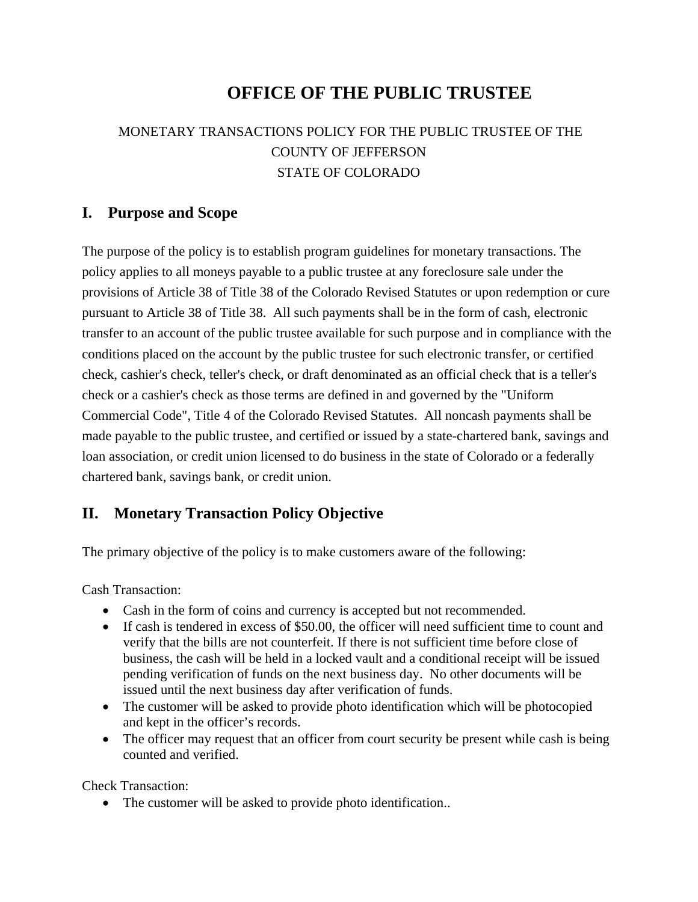# **OFFICE OF THE PUBLIC TRUSTEE**

## MONETARY TRANSACTIONS POLICY FOR THE PUBLIC TRUSTEE OF THE COUNTY OF JEFFERSON STATE OF COLORADO

#### **I. Purpose and Scope**

The purpose of the policy is to establish program guidelines for monetary transactions. The policy applies to all moneys payable to a public trustee at any foreclosure sale under the provisions of Article 38 of Title 38 of the Colorado Revised Statutes or upon redemption or cure pursuant to Article 38 of Title 38. All such payments shall be in the form of cash, electronic transfer to an account of the public trustee available for such purpose and in compliance with the conditions placed on the account by the public trustee for such electronic transfer, or certified check, cashier's check, teller's check, or draft denominated as an official check that is a teller's check or a cashier's check as those terms are defined in and governed by the "Uniform Commercial Code", Title 4 of the Colorado Revised Statutes. All noncash payments shall be made payable to the public trustee, and certified or issued by a state-chartered bank, savings and loan association, or credit union licensed to do business in the state of Colorado or a federally chartered bank, savings bank, or credit union.

### **II. Monetary Transaction Policy Objective**

The primary objective of the policy is to make customers aware of the following:

Cash Transaction:

- Cash in the form of coins and currency is accepted but not recommended.
- If cash is tendered in excess of \$50.00, the officer will need sufficient time to count and verify that the bills are not counterfeit. If there is not sufficient time before close of business, the cash will be held in a locked vault and a conditional receipt will be issued pending verification of funds on the next business day. No other documents will be issued until the next business day after verification of funds.
- The customer will be asked to provide photo identification which will be photocopied and kept in the officer's records.
- The officer may request that an officer from court security be present while cash is being counted and verified.

Check Transaction:

• The customer will be asked to provide photo identification..